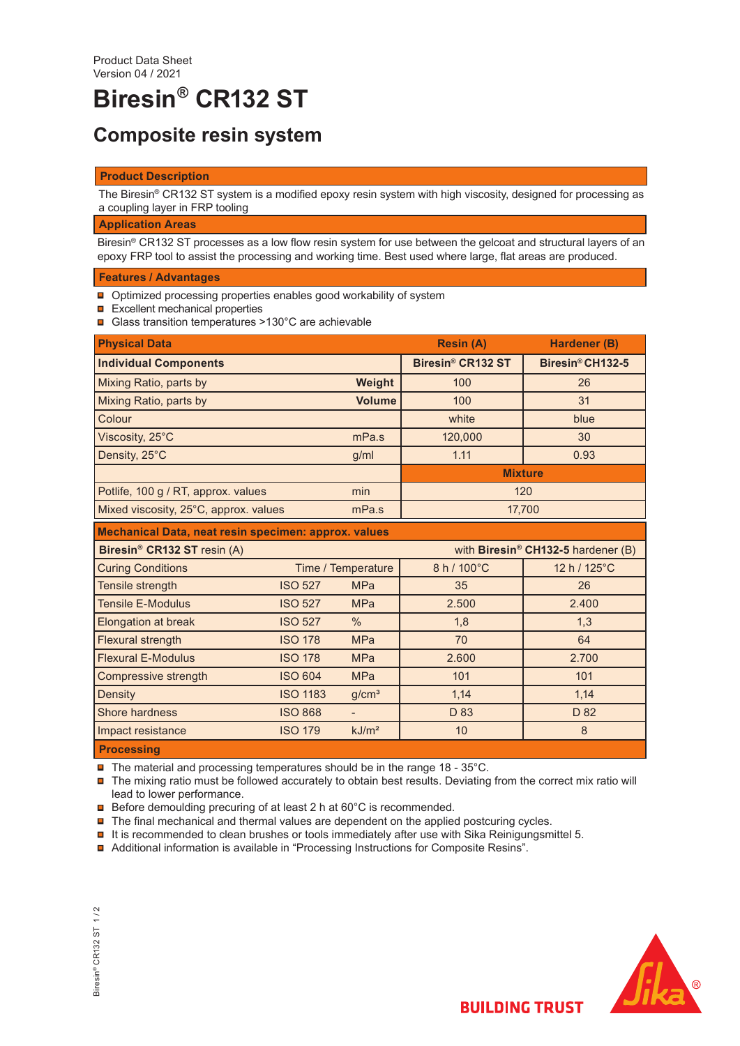# **Biresin® CR132 ST**

## **Composite resin system**

#### **Product Description**

The Biresin® CR132 ST system is a modified epoxy resin system with high viscosity, designed for processing as a coupling layer in FRP tooling

#### **Application Areas**

Biresin® CR132 ST processes as a low flow resin system for use between the gelcoat and structural layers of an epoxy FRP tool to assist the processing and working time. Best used where large, flat areas are produced.

#### **Features / Advantages**

- **□** Optimized processing properties enables good workability of system
- $\Box$  Excellent mechanical properties
- Glass transition temperatures >130°C are achievable

| <b>Physical Data</b>                                 |                 |                    | <b>Resin (A)</b>                   | <b>Hardener (B)</b>          |  |
|------------------------------------------------------|-----------------|--------------------|------------------------------------|------------------------------|--|
| <b>Individual Components</b>                         |                 |                    | Biresin® CR132 ST                  | Biresin <sup>®</sup> CH132-5 |  |
| Mixing Ratio, parts by                               |                 | Weight             | 100                                | 26                           |  |
| Mixing Ratio, parts by                               |                 | <b>Volume</b>      | 100                                | 31                           |  |
| Colour                                               |                 |                    | white                              | blue                         |  |
| Viscosity, 25°C                                      |                 | mPa.s              | 120,000                            | 30                           |  |
| Density, 25°C                                        |                 | g/ml               | 1.11                               | 0.93                         |  |
|                                                      |                 |                    |                                    | <b>Mixture</b>               |  |
| Potlife, 100 g / RT, approx. values<br>min           |                 | 120                |                                    |                              |  |
| Mixed viscosity, 25°C, approx. values<br>mPa.s       |                 | 17,700             |                                    |                              |  |
| Mechanical Data, neat resin specimen: approx. values |                 |                    |                                    |                              |  |
| Biresin <sup>®</sup> CR132 ST resin (A)              |                 |                    | with Biresin® CH132-5 hardener (B) |                              |  |
| <b>Curing Conditions</b>                             |                 | Time / Temperature | 8 h / 100°C                        | 12 h / 125°C                 |  |
| Tensile strength                                     | <b>ISO 527</b>  | <b>MPa</b>         | 35                                 | 26                           |  |
| <b>Tensile E-Modulus</b>                             | <b>ISO 527</b>  | <b>MPa</b>         | 2.500                              | 2.400                        |  |
| Elongation at break                                  | <b>ISO 527</b>  | $\%$               | 1,8                                | 1,3                          |  |
| <b>Flexural strength</b>                             | <b>ISO 178</b>  | <b>MPa</b>         | 70                                 | 64                           |  |
| <b>Flexural E-Modulus</b>                            | <b>ISO 178</b>  | <b>MPa</b>         | 2.600                              | 2.700                        |  |
| Compressive strength                                 | <b>ISO 604</b>  | <b>MPa</b>         | 101                                | 101                          |  |
| Density                                              | <b>ISO 1183</b> | g/cm <sup>3</sup>  | 1,14                               | 1,14                         |  |
| <b>Shore hardness</b>                                | <b>ISO 868</b>  | $\blacksquare$     | D 83                               | D 82                         |  |
| Impact resistance                                    | <b>ISO 179</b>  | kJ/m <sup>2</sup>  | 10                                 | 8                            |  |
| <b>Processing</b>                                    |                 |                    |                                    |                              |  |

 $\blacksquare$  The material and processing temperatures should be in the range 18 - 35°C.

■ The mixing ratio must be followed accurately to obtain best results. Deviating from the correct mix ratio will lead to lower performance.

- **□** Before demoulding precuring of at least 2 h at 60°C is recommended.
- $\blacksquare$  The final mechanical and thermal values are dependent on the applied postcuring cycles.
- $\blacksquare$  It is recommended to clean brushes or tools immediately after use with Sika Reinigungsmittel 5.
- Additional information is available in "Processing Instructions for Composite Resins".